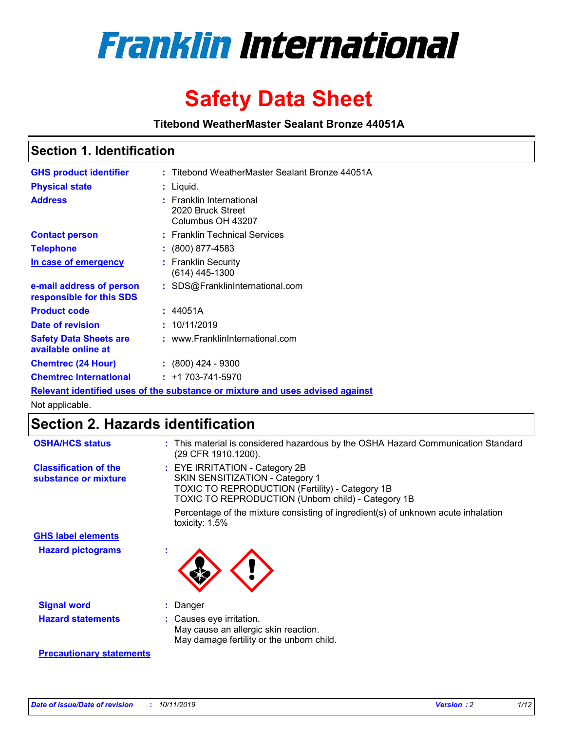

# **Safety Data Sheet**

**Titebond WeatherMaster Sealant Bronze 44051A**

### **Section 1. Identification**

| <b>GHS product identifier</b>                        | : Titebond WeatherMaster Sealant Bronze 44051A                                |
|------------------------------------------------------|-------------------------------------------------------------------------------|
| <b>Physical state</b>                                | : Liquid.                                                                     |
| <b>Address</b>                                       | : Franklin International<br>2020 Bruck Street<br>Columbus OH 43207            |
| <b>Contact person</b>                                | : Franklin Technical Services                                                 |
| <b>Telephone</b>                                     | $\colon$ (800) 877-4583                                                       |
| In case of emergency                                 | : Franklin Security<br>(614) 445-1300                                         |
| e-mail address of person<br>responsible for this SDS | : SDS@FranklinInternational.com                                               |
| <b>Product code</b>                                  | : 44051A                                                                      |
| Date of revision                                     | : 10/11/2019                                                                  |
| <b>Safety Data Sheets are</b><br>available online at | : www.FranklinInternational.com                                               |
| <b>Chemtrec (24 Hour)</b>                            | : (800) 424 - 9300                                                            |
| <b>Chemtrec International</b>                        | $: +1703 - 741 - 5970$                                                        |
|                                                      | Relevant identified uses of the substance or mixture and uses advised against |

Not applicable.

## **Section 2. Hazards identification**

| <b>OSHA/HCS status</b>                               | : This material is considered hazardous by the OSHA Hazard Communication Standard<br>(29 CFR 1910.1200).                                                                                 |
|------------------------------------------------------|------------------------------------------------------------------------------------------------------------------------------------------------------------------------------------------|
| <b>Classification of the</b><br>substance or mixture | : EYE IRRITATION - Category 2B<br>SKIN SENSITIZATION - Category 1<br><b>TOXIC TO REPRODUCTION (Fertility) - Category 1B</b><br><b>TOXIC TO REPRODUCTION (Unborn child) - Category 1B</b> |
|                                                      | Percentage of the mixture consisting of ingredient(s) of unknown acute inhalation<br>toxicity: $1.5\%$                                                                                   |
| <b>GHS label elements</b>                            |                                                                                                                                                                                          |
| <b>Hazard pictograms</b>                             |                                                                                                                                                                                          |
| <b>Signal word</b>                                   | : Danger                                                                                                                                                                                 |
| <b>Hazard statements</b>                             | : Causes eye irritation.<br>May cause an allergic skin reaction.<br>May damage fertility or the unborn child.                                                                            |
| <b>Precautionary statements</b>                      |                                                                                                                                                                                          |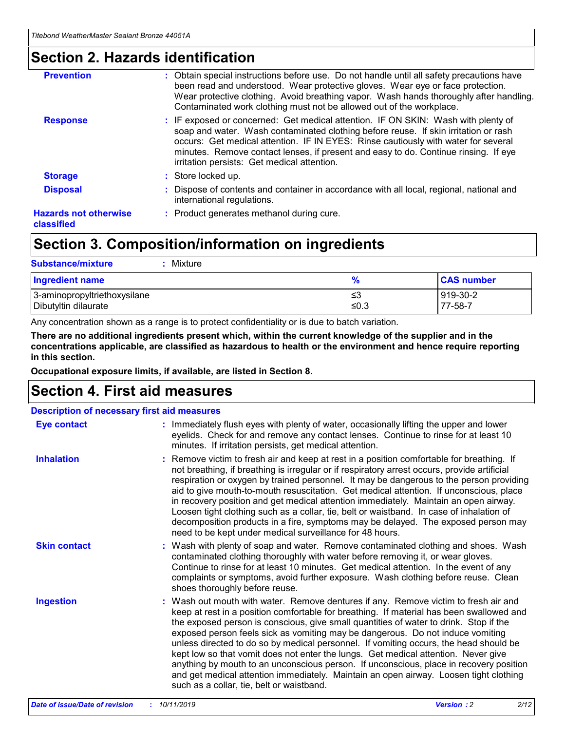### **Section 2. Hazards identification**

| <b>Prevention</b>                          | : Obtain special instructions before use. Do not handle until all safety precautions have<br>been read and understood. Wear protective gloves. Wear eye or face protection.<br>Wear protective clothing. Avoid breathing vapor. Wash hands thoroughly after handling.<br>Contaminated work clothing must not be allowed out of the workplace.                                                        |
|--------------------------------------------|------------------------------------------------------------------------------------------------------------------------------------------------------------------------------------------------------------------------------------------------------------------------------------------------------------------------------------------------------------------------------------------------------|
| <b>Response</b>                            | : IF exposed or concerned: Get medical attention. IF ON SKIN: Wash with plenty of<br>soap and water. Wash contaminated clothing before reuse. If skin irritation or rash<br>occurs: Get medical attention. IF IN EYES: Rinse cautiously with water for several<br>minutes. Remove contact lenses, if present and easy to do. Continue rinsing. If eye<br>irritation persists: Get medical attention. |
| <b>Storage</b>                             | : Store locked up.                                                                                                                                                                                                                                                                                                                                                                                   |
| <b>Disposal</b>                            | : Dispose of contents and container in accordance with all local, regional, national and<br>international regulations.                                                                                                                                                                                                                                                                               |
| <b>Hazards not otherwise</b><br>classified | : Product generates methanol during cure.                                                                                                                                                                                                                                                                                                                                                            |
|                                            |                                                                                                                                                                                                                                                                                                                                                                                                      |

### **Section 3. Composition/information on ingredients**

| <b>Substance/mixture</b><br>: Mixture                |               |                     |
|------------------------------------------------------|---------------|---------------------|
| Ingredient name                                      | $\frac{9}{6}$ | <b>CAS number</b>   |
| 3-aminopropyltriethoxysilane<br>Dibutyltin dilaurate | צ≥<br>≤0.3    | 919-30-2<br>77-58-7 |

Any concentration shown as a range is to protect confidentiality or is due to batch variation.

**There are no additional ingredients present which, within the current knowledge of the supplier and in the concentrations applicable, are classified as hazardous to health or the environment and hence require reporting in this section.**

**Occupational exposure limits, if available, are listed in Section 8.**

### **Section 4. First aid measures**

|                     | <b>Description of necessary first aid measures</b>                                                                                                                                                                                                                                                                                                                                                                                                                                                                                                                                                                                                                                                                                                                        |  |  |  |  |
|---------------------|---------------------------------------------------------------------------------------------------------------------------------------------------------------------------------------------------------------------------------------------------------------------------------------------------------------------------------------------------------------------------------------------------------------------------------------------------------------------------------------------------------------------------------------------------------------------------------------------------------------------------------------------------------------------------------------------------------------------------------------------------------------------------|--|--|--|--|
| <b>Eye contact</b>  | : Immediately flush eyes with plenty of water, occasionally lifting the upper and lower<br>eyelids. Check for and remove any contact lenses. Continue to rinse for at least 10<br>minutes. If irritation persists, get medical attention.                                                                                                                                                                                                                                                                                                                                                                                                                                                                                                                                 |  |  |  |  |
| <b>Inhalation</b>   | : Remove victim to fresh air and keep at rest in a position comfortable for breathing. If<br>not breathing, if breathing is irregular or if respiratory arrest occurs, provide artificial<br>respiration or oxygen by trained personnel. It may be dangerous to the person providing<br>aid to give mouth-to-mouth resuscitation. Get medical attention. If unconscious, place<br>in recovery position and get medical attention immediately. Maintain an open airway.<br>Loosen tight clothing such as a collar, tie, belt or waistband. In case of inhalation of<br>decomposition products in a fire, symptoms may be delayed. The exposed person may<br>need to be kept under medical surveillance for 48 hours.                                                       |  |  |  |  |
| <b>Skin contact</b> | : Wash with plenty of soap and water. Remove contaminated clothing and shoes. Wash<br>contaminated clothing thoroughly with water before removing it, or wear gloves.<br>Continue to rinse for at least 10 minutes. Get medical attention. In the event of any<br>complaints or symptoms, avoid further exposure. Wash clothing before reuse. Clean<br>shoes thoroughly before reuse.                                                                                                                                                                                                                                                                                                                                                                                     |  |  |  |  |
| <b>Ingestion</b>    | : Wash out mouth with water. Remove dentures if any. Remove victim to fresh air and<br>keep at rest in a position comfortable for breathing. If material has been swallowed and<br>the exposed person is conscious, give small quantities of water to drink. Stop if the<br>exposed person feels sick as vomiting may be dangerous. Do not induce vomiting<br>unless directed to do so by medical personnel. If vomiting occurs, the head should be<br>kept low so that vomit does not enter the lungs. Get medical attention. Never give<br>anything by mouth to an unconscious person. If unconscious, place in recovery position<br>and get medical attention immediately. Maintain an open airway. Loosen tight clothing<br>such as a collar, tie, belt or waistband. |  |  |  |  |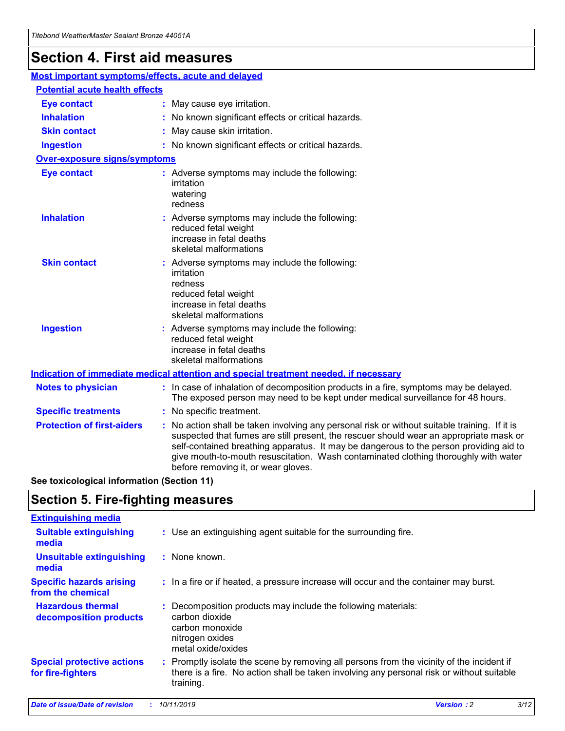## **Section 4. First aid measures**

| Most important symptoms/effects, acute and delayed |                                       |                                                                                                                                                                                                                                                                                                                                                                                                                 |  |  |  |
|----------------------------------------------------|---------------------------------------|-----------------------------------------------------------------------------------------------------------------------------------------------------------------------------------------------------------------------------------------------------------------------------------------------------------------------------------------------------------------------------------------------------------------|--|--|--|
|                                                    | <b>Potential acute health effects</b> |                                                                                                                                                                                                                                                                                                                                                                                                                 |  |  |  |
| <b>Eye contact</b>                                 |                                       | : May cause eye irritation.                                                                                                                                                                                                                                                                                                                                                                                     |  |  |  |
| <b>Inhalation</b>                                  |                                       | : No known significant effects or critical hazards.                                                                                                                                                                                                                                                                                                                                                             |  |  |  |
| <b>Skin contact</b>                                |                                       | : May cause skin irritation.                                                                                                                                                                                                                                                                                                                                                                                    |  |  |  |
| <b>Ingestion</b>                                   |                                       | : No known significant effects or critical hazards.                                                                                                                                                                                                                                                                                                                                                             |  |  |  |
| Over-exposure signs/symptoms                       |                                       |                                                                                                                                                                                                                                                                                                                                                                                                                 |  |  |  |
| <b>Eye contact</b>                                 |                                       | : Adverse symptoms may include the following:<br>irritation<br>watering<br>redness                                                                                                                                                                                                                                                                                                                              |  |  |  |
| <b>Inhalation</b>                                  |                                       | : Adverse symptoms may include the following:<br>reduced fetal weight<br>increase in fetal deaths<br>skeletal malformations                                                                                                                                                                                                                                                                                     |  |  |  |
| <b>Skin contact</b>                                |                                       | : Adverse symptoms may include the following:<br>irritation<br>redness<br>reduced fetal weight<br>increase in fetal deaths<br>skeletal malformations                                                                                                                                                                                                                                                            |  |  |  |
| <b>Ingestion</b>                                   |                                       | : Adverse symptoms may include the following:<br>reduced fetal weight<br>increase in fetal deaths<br>skeletal malformations                                                                                                                                                                                                                                                                                     |  |  |  |
|                                                    |                                       | <b>Indication of immediate medical attention and special treatment needed, if necessary</b>                                                                                                                                                                                                                                                                                                                     |  |  |  |
| <b>Notes to physician</b>                          |                                       | : In case of inhalation of decomposition products in a fire, symptoms may be delayed.<br>The exposed person may need to be kept under medical surveillance for 48 hours.                                                                                                                                                                                                                                        |  |  |  |
| <b>Specific treatments</b>                         |                                       | : No specific treatment.                                                                                                                                                                                                                                                                                                                                                                                        |  |  |  |
| <b>Protection of first-aiders</b>                  |                                       | : No action shall be taken involving any personal risk or without suitable training. If it is<br>suspected that fumes are still present, the rescuer should wear an appropriate mask or<br>self-contained breathing apparatus. It may be dangerous to the person providing aid to<br>give mouth-to-mouth resuscitation. Wash contaminated clothing thoroughly with water<br>before removing it, or wear gloves. |  |  |  |

**See toxicological information (Section 11)**

### **Section 5. Fire-fighting measures**

| <b>Extinguishing media</b>                             |                                                                                                                                                                                                     |
|--------------------------------------------------------|-----------------------------------------------------------------------------------------------------------------------------------------------------------------------------------------------------|
| <b>Suitable extinguishing</b><br>media                 | : Use an extinguishing agent suitable for the surrounding fire.                                                                                                                                     |
| <b>Unsuitable extinguishing</b><br>media               | $:$ None known.                                                                                                                                                                                     |
| <b>Specific hazards arising</b><br>from the chemical   | : In a fire or if heated, a pressure increase will occur and the container may burst.                                                                                                               |
| <b>Hazardous thermal</b><br>decomposition products     | : Decomposition products may include the following materials:<br>carbon dioxide<br>carbon monoxide<br>nitrogen oxides<br>metal oxide/oxides                                                         |
| <b>Special protective actions</b><br>for fire-fighters | : Promptly isolate the scene by removing all persons from the vicinity of the incident if<br>there is a fire. No action shall be taken involving any personal risk or without suitable<br>training. |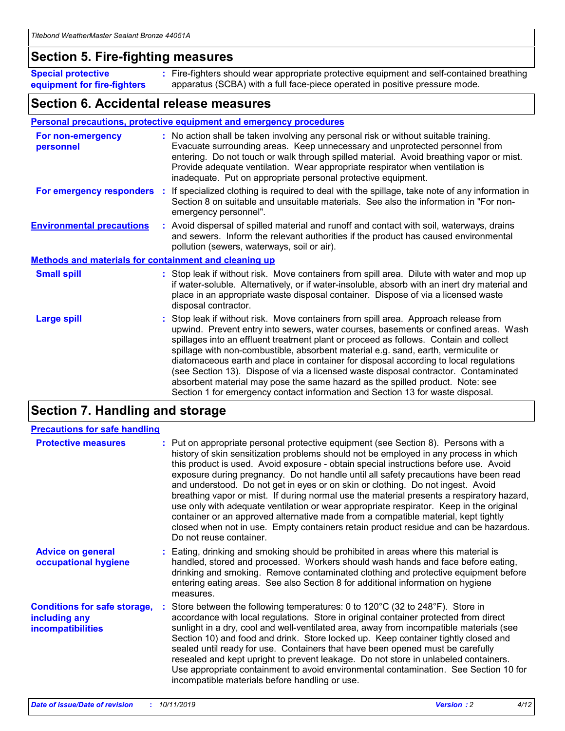### **Section 5. Fire-fighting measures**

**Special protective equipment for fire-fighters** Fire-fighters should wear appropriate protective equipment and self-contained breathing **:** apparatus (SCBA) with a full face-piece operated in positive pressure mode.

### **Section 6. Accidental release measures**

#### **Personal precautions, protective equipment and emergency procedures**

| For non-emergency<br>personnel                               | : No action shall be taken involving any personal risk or without suitable training.<br>Evacuate surrounding areas. Keep unnecessary and unprotected personnel from<br>entering. Do not touch or walk through spilled material. Avoid breathing vapor or mist.<br>Provide adequate ventilation. Wear appropriate respirator when ventilation is<br>inadequate. Put on appropriate personal protective equipment.                                                                                                                                                                                                                                                                                             |
|--------------------------------------------------------------|--------------------------------------------------------------------------------------------------------------------------------------------------------------------------------------------------------------------------------------------------------------------------------------------------------------------------------------------------------------------------------------------------------------------------------------------------------------------------------------------------------------------------------------------------------------------------------------------------------------------------------------------------------------------------------------------------------------|
| For emergency responders                                     | : If specialized clothing is required to deal with the spillage, take note of any information in<br>Section 8 on suitable and unsuitable materials. See also the information in "For non-<br>emergency personnel".                                                                                                                                                                                                                                                                                                                                                                                                                                                                                           |
| <b>Environmental precautions</b>                             | : Avoid dispersal of spilled material and runoff and contact with soil, waterways, drains<br>and sewers. Inform the relevant authorities if the product has caused environmental<br>pollution (sewers, waterways, soil or air).                                                                                                                                                                                                                                                                                                                                                                                                                                                                              |
| <b>Methods and materials for containment and cleaning up</b> |                                                                                                                                                                                                                                                                                                                                                                                                                                                                                                                                                                                                                                                                                                              |
| <b>Small spill</b>                                           | : Stop leak if without risk. Move containers from spill area. Dilute with water and mop up<br>if water-soluble. Alternatively, or if water-insoluble, absorb with an inert dry material and<br>place in an appropriate waste disposal container. Dispose of via a licensed waste<br>disposal contractor.                                                                                                                                                                                                                                                                                                                                                                                                     |
| <b>Large spill</b>                                           | : Stop leak if without risk. Move containers from spill area. Approach release from<br>upwind. Prevent entry into sewers, water courses, basements or confined areas. Wash<br>spillages into an effluent treatment plant or proceed as follows. Contain and collect<br>spillage with non-combustible, absorbent material e.g. sand, earth, vermiculite or<br>diatomaceous earth and place in container for disposal according to local regulations<br>(see Section 13). Dispose of via a licensed waste disposal contractor. Contaminated<br>absorbent material may pose the same hazard as the spilled product. Note: see<br>Section 1 for emergency contact information and Section 13 for waste disposal. |

### **Section 7. Handling and storage**

| <b>Precautions for safe handling</b>                                             |                                                                                                                                                                                                                                                                                                                                                                                                                                                                                                                                                                                                                                                                                                                                                                                                                                                  |
|----------------------------------------------------------------------------------|--------------------------------------------------------------------------------------------------------------------------------------------------------------------------------------------------------------------------------------------------------------------------------------------------------------------------------------------------------------------------------------------------------------------------------------------------------------------------------------------------------------------------------------------------------------------------------------------------------------------------------------------------------------------------------------------------------------------------------------------------------------------------------------------------------------------------------------------------|
| <b>Protective measures</b>                                                       | : Put on appropriate personal protective equipment (see Section 8). Persons with a<br>history of skin sensitization problems should not be employed in any process in which<br>this product is used. Avoid exposure - obtain special instructions before use. Avoid<br>exposure during pregnancy. Do not handle until all safety precautions have been read<br>and understood. Do not get in eyes or on skin or clothing. Do not ingest. Avoid<br>breathing vapor or mist. If during normal use the material presents a respiratory hazard,<br>use only with adequate ventilation or wear appropriate respirator. Keep in the original<br>container or an approved alternative made from a compatible material, kept tightly<br>closed when not in use. Empty containers retain product residue and can be hazardous.<br>Do not reuse container. |
| <b>Advice on general</b><br>occupational hygiene                                 | : Eating, drinking and smoking should be prohibited in areas where this material is<br>handled, stored and processed. Workers should wash hands and face before eating,<br>drinking and smoking. Remove contaminated clothing and protective equipment before<br>entering eating areas. See also Section 8 for additional information on hygiene<br>measures.                                                                                                                                                                                                                                                                                                                                                                                                                                                                                    |
| <b>Conditions for safe storage,</b><br>including any<br><b>incompatibilities</b> | Store between the following temperatures: 0 to 120°C (32 to 248°F). Store in<br>accordance with local regulations. Store in original container protected from direct<br>sunlight in a dry, cool and well-ventilated area, away from incompatible materials (see<br>Section 10) and food and drink. Store locked up. Keep container tightly closed and<br>sealed until ready for use. Containers that have been opened must be carefully<br>resealed and kept upright to prevent leakage. Do not store in unlabeled containers.<br>Use appropriate containment to avoid environmental contamination. See Section 10 for<br>incompatible materials before handling or use.                                                                                                                                                                         |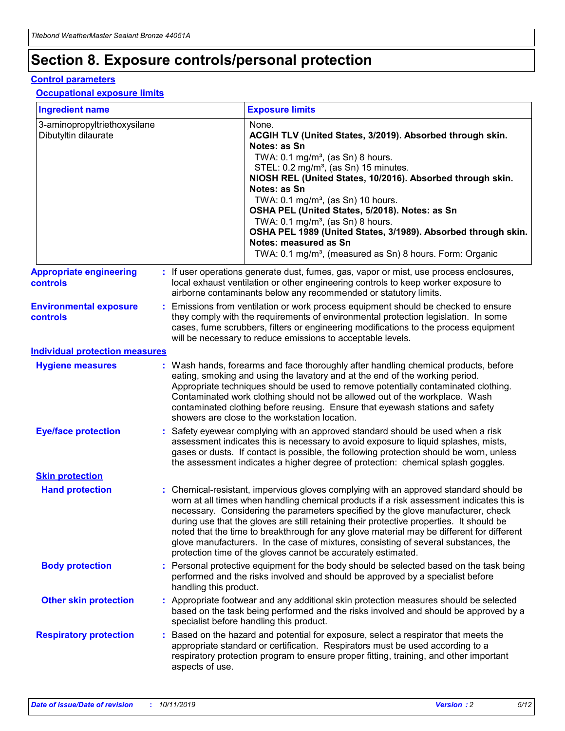## **Section 8. Exposure controls/personal protection**

#### **Control parameters**

#### **Occupational exposure limits**

| <b>Ingredient name</b>                               |    |                        | <b>Exposure limits</b>                                                                                                                                                                                                                                                                                                                                                                                                                                                                                                                                                                                                 |
|------------------------------------------------------|----|------------------------|------------------------------------------------------------------------------------------------------------------------------------------------------------------------------------------------------------------------------------------------------------------------------------------------------------------------------------------------------------------------------------------------------------------------------------------------------------------------------------------------------------------------------------------------------------------------------------------------------------------------|
| 3-aminopropyltriethoxysilane<br>Dibutyltin dilaurate |    |                        | None.<br>ACGIH TLV (United States, 3/2019). Absorbed through skin.<br>Notes: as Sn<br>TWA: $0.1 \text{ mg/m}^3$ , (as Sn) 8 hours.<br>STEL: 0.2 mg/m <sup>3</sup> , (as Sn) 15 minutes.<br>NIOSH REL (United States, 10/2016). Absorbed through skin.<br>Notes: as Sn<br>TWA: 0.1 mg/m <sup>3</sup> , (as Sn) 10 hours.<br>OSHA PEL (United States, 5/2018). Notes: as Sn<br>TWA: $0.1 \text{ mg/m}^3$ , (as Sn) 8 hours.<br>OSHA PEL 1989 (United States, 3/1989). Absorbed through skin.<br>Notes: measured as Sn<br>TWA: 0.1 mg/m <sup>3</sup> , (measured as Sn) 8 hours. Form: Organic                            |
| <b>Appropriate engineering</b><br>controls           |    |                        | : If user operations generate dust, fumes, gas, vapor or mist, use process enclosures,<br>local exhaust ventilation or other engineering controls to keep worker exposure to<br>airborne contaminants below any recommended or statutory limits.                                                                                                                                                                                                                                                                                                                                                                       |
| <b>Environmental exposure</b><br>controls            |    |                        | Emissions from ventilation or work process equipment should be checked to ensure<br>they comply with the requirements of environmental protection legislation. In some<br>cases, fume scrubbers, filters or engineering modifications to the process equipment<br>will be necessary to reduce emissions to acceptable levels.                                                                                                                                                                                                                                                                                          |
| <b>Individual protection measures</b>                |    |                        |                                                                                                                                                                                                                                                                                                                                                                                                                                                                                                                                                                                                                        |
| <b>Hygiene measures</b>                              |    |                        | : Wash hands, forearms and face thoroughly after handling chemical products, before<br>eating, smoking and using the lavatory and at the end of the working period.<br>Appropriate techniques should be used to remove potentially contaminated clothing.<br>Contaminated work clothing should not be allowed out of the workplace. Wash<br>contaminated clothing before reusing. Ensure that eyewash stations and safety<br>showers are close to the workstation location.                                                                                                                                            |
| <b>Eye/face protection</b>                           |    |                        | : Safety eyewear complying with an approved standard should be used when a risk<br>assessment indicates this is necessary to avoid exposure to liquid splashes, mists,<br>gases or dusts. If contact is possible, the following protection should be worn, unless<br>the assessment indicates a higher degree of protection: chemical splash goggles.                                                                                                                                                                                                                                                                  |
| <b>Skin protection</b>                               |    |                        |                                                                                                                                                                                                                                                                                                                                                                                                                                                                                                                                                                                                                        |
| <b>Hand protection</b>                               |    |                        | : Chemical-resistant, impervious gloves complying with an approved standard should be<br>worn at all times when handling chemical products if a risk assessment indicates this is<br>necessary. Considering the parameters specified by the glove manufacturer, check<br>during use that the gloves are still retaining their protective properties. It should be<br>noted that the time to breakthrough for any glove material may be different for different<br>glove manufacturers. In the case of mixtures, consisting of several substances, the<br>protection time of the gloves cannot be accurately estimated. |
| <b>Body protection</b>                               |    | handling this product. | Personal protective equipment for the body should be selected based on the task being<br>performed and the risks involved and should be approved by a specialist before                                                                                                                                                                                                                                                                                                                                                                                                                                                |
| <b>Other skin protection</b>                         |    |                        | : Appropriate footwear and any additional skin protection measures should be selected<br>based on the task being performed and the risks involved and should be approved by a<br>specialist before handling this product.                                                                                                                                                                                                                                                                                                                                                                                              |
| <b>Respiratory protection</b>                        | ÷. | aspects of use.        | Based on the hazard and potential for exposure, select a respirator that meets the<br>appropriate standard or certification. Respirators must be used according to a<br>respiratory protection program to ensure proper fitting, training, and other important                                                                                                                                                                                                                                                                                                                                                         |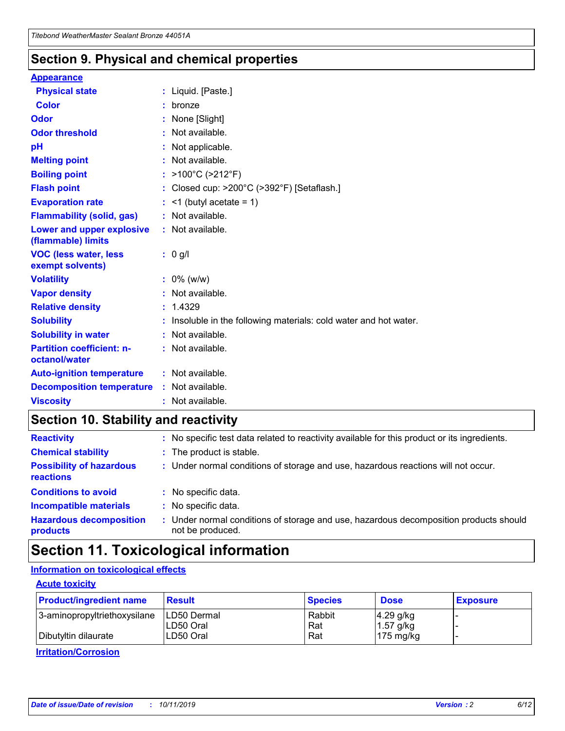### **Section 9. Physical and chemical properties**

#### **Appearance**

| <b>Physical state</b>                             |    | : Liquid. [Paste.]                                              |
|---------------------------------------------------|----|-----------------------------------------------------------------|
| <b>Color</b>                                      |    | bronze                                                          |
| Odor                                              |    | None [Slight]                                                   |
| <b>Odor threshold</b>                             | ÷  | Not available.                                                  |
| рH                                                |    | Not applicable.                                                 |
| <b>Melting point</b>                              |    | : Not available.                                                |
| <b>Boiling point</b>                              |    | >100°C (>212°F)                                                 |
| <b>Flash point</b>                                |    | Closed cup: >200°C (>392°F) [Setaflash.]                        |
| <b>Evaporation rate</b>                           |    | $\leq$ 1 (butyl acetate = 1)                                    |
| <b>Flammability (solid, gas)</b>                  |    | : Not available.                                                |
| Lower and upper explosive<br>(flammable) limits   |    | $:$ Not available.                                              |
| <b>VOC (less water, less)</b><br>exempt solvents) |    | : 0 g/l                                                         |
| <b>Volatility</b>                                 |    | $: 0\%$ (w/w)                                                   |
| <b>Vapor density</b>                              |    | Not available.                                                  |
| <b>Relative density</b>                           | ÷. | 1.4329                                                          |
| <b>Solubility</b>                                 |    | Insoluble in the following materials: cold water and hot water. |
| <b>Solubility in water</b>                        |    | Not available.                                                  |
| <b>Partition coefficient: n-</b><br>octanol/water |    | $:$ Not available.                                              |
| <b>Auto-ignition temperature</b>                  |    | : Not available.                                                |
| <b>Decomposition temperature</b>                  |    | : Not available.                                                |
| <b>Viscosity</b>                                  |    | : Not available.                                                |

### **Section 10. Stability and reactivity**

| <b>Reactivity</b>                            |    | : No specific test data related to reactivity available for this product or its ingredients.            |
|----------------------------------------------|----|---------------------------------------------------------------------------------------------------------|
| <b>Chemical stability</b>                    |    | : The product is stable.                                                                                |
| <b>Possibility of hazardous</b><br>reactions |    | : Under normal conditions of storage and use, hazardous reactions will not occur.                       |
| <b>Conditions to avoid</b>                   |    | : No specific data.                                                                                     |
| <b>Incompatible materials</b>                | ٠. | No specific data.                                                                                       |
| <b>Hazardous decomposition</b><br>products   | ÷. | Under normal conditions of storage and use, hazardous decomposition products should<br>not be produced. |

### **Section 11. Toxicological information**

### **Information on toxicological effects**

#### **Acute toxicity**

| <b>Product/ingredient name</b> | <b>Result</b>           | <b>Species</b> | <b>Dose</b>                | <b>Exposure</b> |
|--------------------------------|-------------------------|----------------|----------------------------|-----------------|
| 3-aminopropyltriethoxysilane   | <b>ILD50 Dermal</b>     | Rabbit         | 4.29 g/kg                  |                 |
| Dibutyltin dilaurate           | ILD50 Oral<br>LD50 Oral | Rat<br>Rat     | $1.57$ g/kg<br>175 $mg/kg$ |                 |
|                                |                         |                |                            |                 |

**Irritation/Corrosion**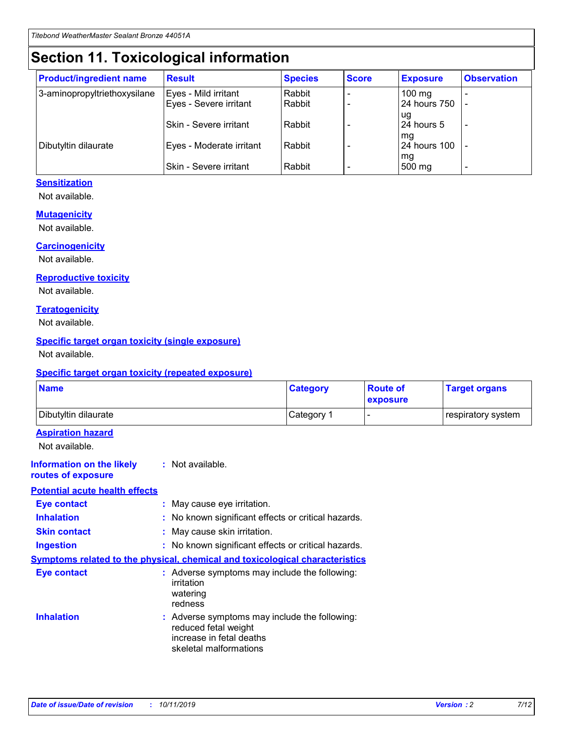## **Section 11. Toxicological information**

| <b>Product/ingredient name</b> | <b>Result</b>            | <b>Species</b> | <b>Score</b> | <b>Exposure</b>           | <b>Observation</b> |
|--------------------------------|--------------------------|----------------|--------------|---------------------------|--------------------|
| 3-aminopropyltriethoxysilane   | Eyes - Mild irritant     | Rabbit         |              | $100$ mg                  |                    |
|                                | Eyes - Severe irritant   | Rabbit         |              | 24 hours 750              |                    |
|                                |                          |                |              | ug                        |                    |
|                                | Skin - Severe irritant   | Rabbit         |              | 24 hours 5                | -                  |
| Dibutyltin dilaurate           | Eyes - Moderate irritant | Rabbit         |              | mg<br><b>24 hours 100</b> |                    |
|                                |                          |                |              | mg                        |                    |
|                                | Skin - Severe irritant   | Rabbit         |              | 500 mg                    | -                  |

### **Sensitization**

Not available.

#### **Mutagenicity**

Not available.

#### **Carcinogenicity**

Not available.

#### **Reproductive toxicity**

Not available.

#### **Teratogenicity**

Not available.

#### **Specific target organ toxicity (single exposure)**

Not available.

#### **Specific target organ toxicity (repeated exposure)**

| <b>Name</b>                                                                         |                                                                            | <b>Category</b>                                     | <b>Route of</b><br>exposure | <b>Target organs</b> |  |
|-------------------------------------------------------------------------------------|----------------------------------------------------------------------------|-----------------------------------------------------|-----------------------------|----------------------|--|
| Dibutyltin dilaurate                                                                |                                                                            | Category 1                                          |                             | respiratory system   |  |
| <b>Aspiration hazard</b><br>Not available.                                          |                                                                            |                                                     |                             |                      |  |
| <b>Information on the likely</b><br>routes of exposure                              | : Not available.                                                           |                                                     |                             |                      |  |
| <b>Potential acute health effects</b>                                               |                                                                            |                                                     |                             |                      |  |
| <b>Eye contact</b>                                                                  | : May cause eye irritation.                                                |                                                     |                             |                      |  |
| <b>Inhalation</b>                                                                   |                                                                            | : No known significant effects or critical hazards. |                             |                      |  |
| <b>Skin contact</b>                                                                 | : May cause skin irritation.                                               |                                                     |                             |                      |  |
| <b>Ingestion</b>                                                                    |                                                                            | : No known significant effects or critical hazards. |                             |                      |  |
| <b>Symptoms related to the physical, chemical and toxicological characteristics</b> |                                                                            |                                                     |                             |                      |  |
| <b>Eye contact</b>                                                                  | irritation<br>watering<br>redness                                          | : Adverse symptoms may include the following:       |                             |                      |  |
| <b>Inhalation</b>                                                                   | reduced fetal weight<br>increase in fetal deaths<br>skeletal malformations | : Adverse symptoms may include the following:       |                             |                      |  |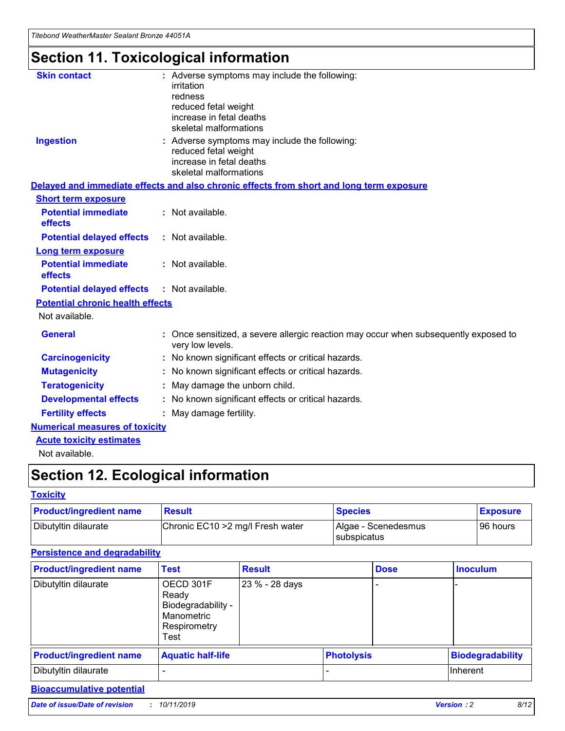*Titebond WeatherMaster Sealant Bronze 44051A*

## **Section 11. Toxicological information**

| <b>Skin contact</b>                     | : Adverse symptoms may include the following:<br>irritation<br>redness<br>reduced fetal weight<br>increase in fetal deaths<br>skeletal malformations |  |
|-----------------------------------------|------------------------------------------------------------------------------------------------------------------------------------------------------|--|
| <b>Ingestion</b>                        | : Adverse symptoms may include the following:<br>reduced fetal weight<br>increase in fetal deaths<br>skeletal malformations                          |  |
|                                         | Delayed and immediate effects and also chronic effects from short and long term exposure                                                             |  |
| <b>Short term exposure</b>              |                                                                                                                                                      |  |
| <b>Potential immediate</b><br>effects   | : Not available.                                                                                                                                     |  |
| <b>Potential delayed effects</b>        | : Not available.                                                                                                                                     |  |
| <b>Long term exposure</b>               |                                                                                                                                                      |  |
| <b>Potential immediate</b><br>effects   | : Not available.                                                                                                                                     |  |
| <b>Potential delayed effects</b>        | : Not available.                                                                                                                                     |  |
| <b>Potential chronic health effects</b> |                                                                                                                                                      |  |
| Not available.                          |                                                                                                                                                      |  |
| <b>General</b>                          | : Once sensitized, a severe allergic reaction may occur when subsequently exposed to<br>very low levels.                                             |  |
| <b>Carcinogenicity</b>                  | : No known significant effects or critical hazards.                                                                                                  |  |
| <b>Mutagenicity</b>                     | : No known significant effects or critical hazards.                                                                                                  |  |
| <b>Teratogenicity</b>                   | May damage the unborn child.                                                                                                                         |  |
| <b>Developmental effects</b>            | : No known significant effects or critical hazards.                                                                                                  |  |
| <b>Fertility effects</b>                | May damage fertility.                                                                                                                                |  |
| <b>Numerical measures of toxicity</b>   |                                                                                                                                                      |  |
| <b>Acute toxicity estimates</b>         |                                                                                                                                                      |  |
| الملحلة والمستنصر بالمسلط               |                                                                                                                                                      |  |

Not available.

## **Section 12. Ecological information**

#### **Toxicity**

| <b>Product/ingredient name</b> | <b>Result</b>                     | <b>Species</b>                              | <b>Exposure</b> |
|--------------------------------|-----------------------------------|---------------------------------------------|-----------------|
| Dibutyltin dilaurate           | Chronic EC10 > 2 mg/l Fresh water | Algae - Scenedesmus<br><b>I</b> subspicatus | l 96 hours      |

### **Persistence and degradability**

| <b>Product/ingredient name</b> | <b>Test</b>                                                                    | <b>Result</b>  |  | <b>Dose</b>       | <b>Inoculum</b>         |
|--------------------------------|--------------------------------------------------------------------------------|----------------|--|-------------------|-------------------------|
| Dibutyltin dilaurate           | OECD 301F<br>Ready<br>Biodegradability -<br>Manometric<br>Respirometry<br>Test | 23 % - 28 days |  |                   |                         |
| <b>Product/ingredient name</b> | <b>Aquatic half-life</b>                                                       |                |  | <b>Photolysis</b> | <b>Biodegradability</b> |
| Dibutyltin dilaurate           |                                                                                |                |  |                   | Inherent                |

### **Bioaccumulative potential**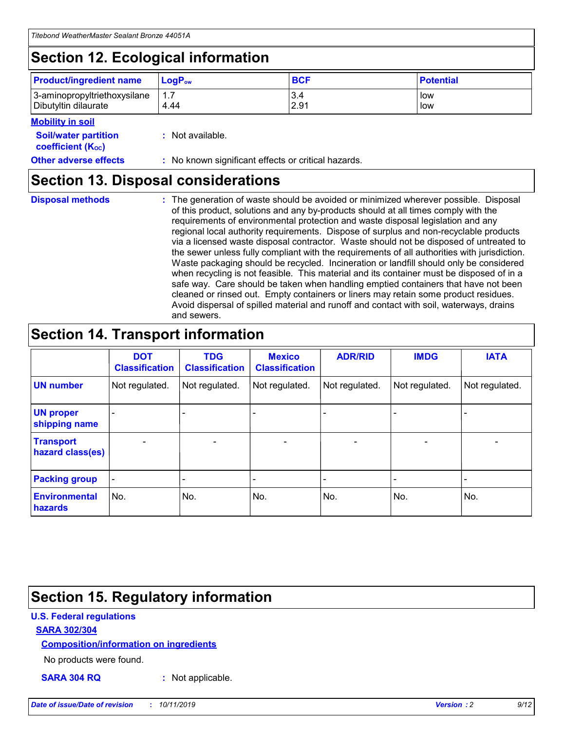## **Section 12. Ecological information**

| <b>Product/ingredient name</b>                       | ∣LoqP <sub>ow</sub> | <b>BCF</b>  | <b>Potential</b> |
|------------------------------------------------------|---------------------|-------------|------------------|
| 3-aminopropyltriethoxysilane<br>Dibutyltin dilaurate | 1.1<br>4.44         | 3.4<br>2.91 | low<br>low       |

#### **Mobility in soil**

| <b>Soil/water partition</b><br>coefficient (K <sub>oc</sub> ) | : Not available.                                    |
|---------------------------------------------------------------|-----------------------------------------------------|
| <b>Other adverse effects</b>                                  | : No known significant effects or critical hazards. |

### **Section 13. Disposal considerations**

| <b>Disposal methods</b> |  |  |
|-------------------------|--|--|

**Disposal methods** : The generation of waste should be avoided or minimized wherever possible. Disposal of this product, solutions and any by-products should at all times comply with the requirements of environmental protection and waste disposal legislation and any regional local authority requirements. Dispose of surplus and non-recyclable products via a licensed waste disposal contractor. Waste should not be disposed of untreated to the sewer unless fully compliant with the requirements of all authorities with jurisdiction. Waste packaging should be recycled. Incineration or landfill should only be considered when recycling is not feasible. This material and its container must be disposed of in a safe way. Care should be taken when handling emptied containers that have not been cleaned or rinsed out. Empty containers or liners may retain some product residues. Avoid dispersal of spilled material and runoff and contact with soil, waterways, drains and sewers.

## **Section 14. Transport information**

|                                      | <b>DOT</b><br><b>Classification</b> | <b>TDG</b><br><b>Classification</b> | <b>Mexico</b><br><b>Classification</b> | <b>ADR/RID</b>           | <b>IMDG</b>     | <b>IATA</b>              |
|--------------------------------------|-------------------------------------|-------------------------------------|----------------------------------------|--------------------------|-----------------|--------------------------|
| <b>UN number</b>                     | Not regulated.                      | Not regulated.                      | Not regulated.                         | Not regulated.           | Not regulated.  | Not regulated.           |
| <b>UN proper</b><br>shipping name    | $\qquad \qquad$                     |                                     |                                        |                          |                 |                          |
| <b>Transport</b><br>hazard class(es) | $\overline{\phantom{m}}$            | $\qquad \qquad$                     | $\qquad \qquad$                        | $\overline{\phantom{a}}$ | $\qquad \qquad$ | $\overline{\phantom{0}}$ |
| <b>Packing group</b>                 | $\overline{\phantom{a}}$            | -                                   |                                        |                          |                 |                          |
| <b>Environmental</b><br>hazards      | No.                                 | No.                                 | No.                                    | No.                      | No.             | No.                      |

## **Section 15. Regulatory information**

#### **U.S. Federal regulations**

#### **SARA 302/304**

#### **Composition/information on ingredients**

No products were found.

**SARA 304 RQ :** Not applicable.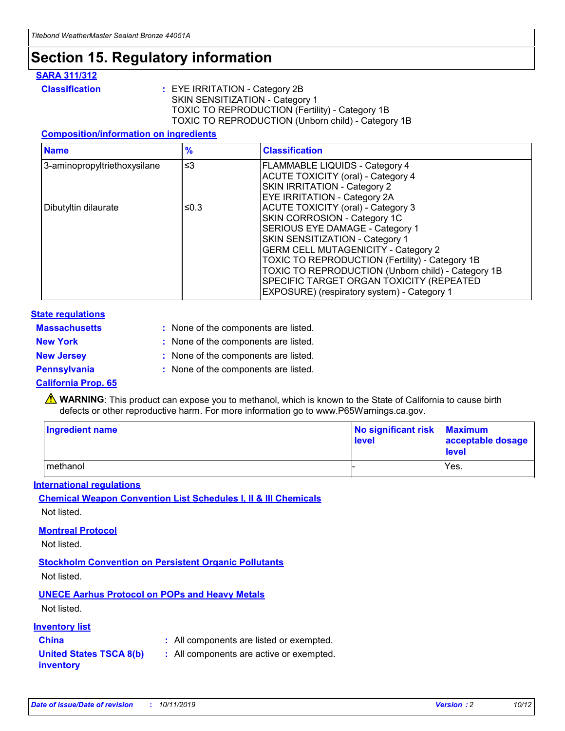## **Section 15. Regulatory information**

#### **SARA 311/312**

**Classification :** EYE IRRITATION - Category 2B SKIN SENSITIZATION - Category 1 TOXIC TO REPRODUCTION (Fertility) - Category 1B TOXIC TO REPRODUCTION (Unborn child) - Category 1B

#### **Composition/information on ingredients**

| <b>Name</b>                  | $\frac{9}{6}$ | <b>Classification</b>                                  |
|------------------------------|---------------|--------------------------------------------------------|
| 3-aminopropyltriethoxysilane | $\leq$ 3      | <b>FLAMMABLE LIQUIDS - Category 4</b>                  |
|                              |               | <b>ACUTE TOXICITY (oral) - Category 4</b>              |
|                              |               | SKIN IRRITATION - Category 2                           |
|                              |               | <b>EYE IRRITATION - Category 2A</b>                    |
| Dibutyltin dilaurate         | ≤0.3          | <b>ACUTE TOXICITY (oral) - Category 3</b>              |
|                              |               | SKIN CORROSION - Category 1C                           |
|                              |               | SERIOUS EYE DAMAGE - Category 1                        |
|                              |               | SKIN SENSITIZATION - Category 1                        |
|                              |               | <b>GERM CELL MUTAGENICITY - Category 2</b>             |
|                              |               | <b>TOXIC TO REPRODUCTION (Fertility) - Category 1B</b> |
|                              |               | TOXIC TO REPRODUCTION (Unborn child) - Category 1B     |
|                              |               | SPECIFIC TARGET ORGAN TOXICITY (REPEATED               |
|                              |               | EXPOSURE) (respiratory system) - Category 1            |

#### **State regulations**

| <b>Massachusetts</b> | : None of the components are listed. |
|----------------------|--------------------------------------|
| <b>New York</b>      | : None of the components are listed. |
| <b>New Jersey</b>    | : None of the components are listed. |
| <b>Pennsylvania</b>  | : None of the components are listed. |

#### **California Prop. 65**

**A** WARNING: This product can expose you to methanol, which is known to the State of California to cause birth defects or other reproductive harm. For more information go to www.P65Warnings.ca.gov.

| <b>Ingredient name</b> | No significant risk Maximum<br>level | acceptable dosage<br>level |
|------------------------|--------------------------------------|----------------------------|
| methanol               |                                      | Yes.                       |

#### **International regulations**

**Chemical Weapon Convention List Schedules I, II & III Chemicals** Not listed.

#### **Montreal Protocol**

Not listed.

**Stockholm Convention on Persistent Organic Pollutants**

Not listed.

### **UNECE Aarhus Protocol on POPs and Heavy Metals**

Not listed.

#### **Inventory list**

### **China :** All components are listed or exempted.

**United States TSCA 8(b) inventory :** All components are active or exempted.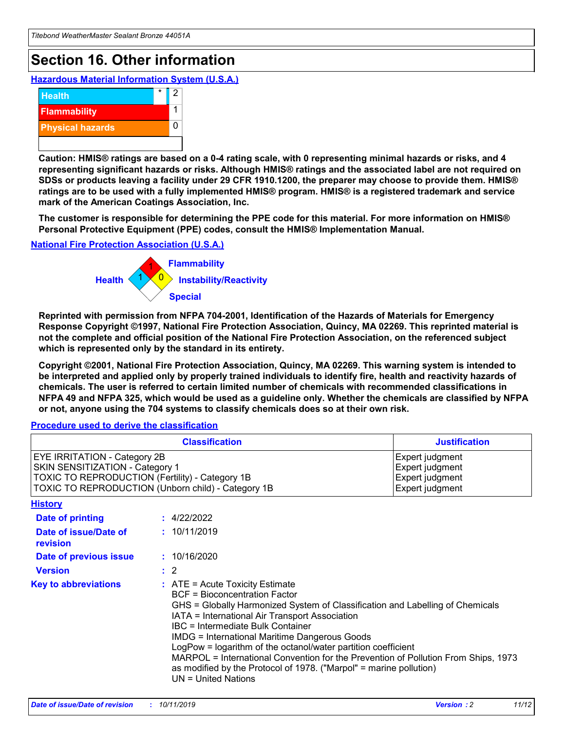## **Section 16. Other information**

**Hazardous Material Information System (U.S.A.)**



**Caution: HMIS® ratings are based on a 0-4 rating scale, with 0 representing minimal hazards or risks, and 4 representing significant hazards or risks. Although HMIS® ratings and the associated label are not required on SDSs or products leaving a facility under 29 CFR 1910.1200, the preparer may choose to provide them. HMIS® ratings are to be used with a fully implemented HMIS® program. HMIS® is a registered trademark and service mark of the American Coatings Association, Inc.**

**The customer is responsible for determining the PPE code for this material. For more information on HMIS® Personal Protective Equipment (PPE) codes, consult the HMIS® Implementation Manual.**

#### **National Fire Protection Association (U.S.A.)**



**Reprinted with permission from NFPA 704-2001, Identification of the Hazards of Materials for Emergency Response Copyright ©1997, National Fire Protection Association, Quincy, MA 02269. This reprinted material is not the complete and official position of the National Fire Protection Association, on the referenced subject which is represented only by the standard in its entirety.**

**Copyright ©2001, National Fire Protection Association, Quincy, MA 02269. This warning system is intended to be interpreted and applied only by properly trained individuals to identify fire, health and reactivity hazards of chemicals. The user is referred to certain limited number of chemicals with recommended classifications in NFPA 49 and NFPA 325, which would be used as a guideline only. Whether the chemicals are classified by NFPA or not, anyone using the 704 systems to classify chemicals does so at their own risk.**

#### **Procedure used to derive the classification**

|                                                                                                                                  | <b>Classification</b>                                                                                                                                                                                                                                                                                                                                                                                                                                                                                                                                                           | <b>Justification</b>                                                     |
|----------------------------------------------------------------------------------------------------------------------------------|---------------------------------------------------------------------------------------------------------------------------------------------------------------------------------------------------------------------------------------------------------------------------------------------------------------------------------------------------------------------------------------------------------------------------------------------------------------------------------------------------------------------------------------------------------------------------------|--------------------------------------------------------------------------|
| <b>EYE IRRITATION - Category 2B</b><br>SKIN SENSITIZATION - Category 1<br><b>TOXIC TO REPRODUCTION (Fertility) - Category 1B</b> | TOXIC TO REPRODUCTION (Unborn child) - Category 1B                                                                                                                                                                                                                                                                                                                                                                                                                                                                                                                              | Expert judgment<br>Expert judgment<br>Expert judgment<br>Expert judgment |
| <b>History</b>                                                                                                                   |                                                                                                                                                                                                                                                                                                                                                                                                                                                                                                                                                                                 |                                                                          |
| Date of printing                                                                                                                 | : 4/22/2022                                                                                                                                                                                                                                                                                                                                                                                                                                                                                                                                                                     |                                                                          |
| Date of issue/Date of<br>revision                                                                                                | : 10/11/2019                                                                                                                                                                                                                                                                                                                                                                                                                                                                                                                                                                    |                                                                          |
| Date of previous issue                                                                                                           | : 10/16/2020                                                                                                                                                                                                                                                                                                                                                                                                                                                                                                                                                                    |                                                                          |
| <b>Version</b>                                                                                                                   | $\therefore$ 2                                                                                                                                                                                                                                                                                                                                                                                                                                                                                                                                                                  |                                                                          |
| <b>Key to abbreviations</b>                                                                                                      | $\therefore$ ATE = Acute Toxicity Estimate<br><b>BCF</b> = Bioconcentration Factor<br>GHS = Globally Harmonized System of Classification and Labelling of Chemicals<br>IATA = International Air Transport Association<br><b>IBC</b> = Intermediate Bulk Container<br><b>IMDG = International Maritime Dangerous Goods</b><br>LogPow = logarithm of the octanol/water partition coefficient<br>MARPOL = International Convention for the Prevention of Pollution From Ships, 1973<br>as modified by the Protocol of 1978. ("Marpol" = marine pollution)<br>$UN = United Nations$ |                                                                          |